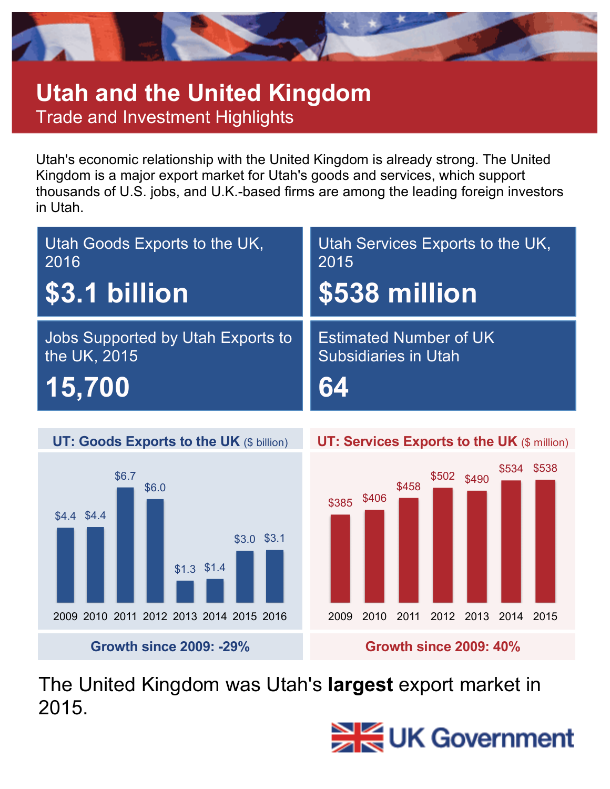

## **Utah and the United Kingdom** Trade and Investment Highlights

Utah's economic relationship with the United Kingdom is already strong. The United Kingdom is a major export market for Utah's goods and services, which support thousands of U.S. jobs, and U.K.-based firms are among the leading foreign investors in Utah.

| Utah Goods Exports to the UK.     | Utah Services Exports to the UK, |
|-----------------------------------|----------------------------------|
| 2016                              | 2015                             |
| <b>\$3.1 billion</b>              | \$538 million                    |
| Jobs Supported by Utah Exports to | <b>Estimated Number of UK</b>    |
| the UK, 2015                      | <b>Subsidiaries in Utah</b>      |
| $\ket{15,700}$                    | 64                               |





The United Kingdom was Utah's **largest** export market in 2015.